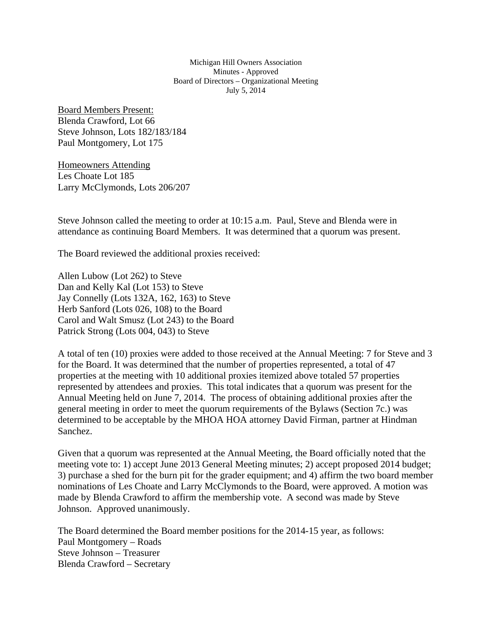Michigan Hill Owners Association Minutes - Approved Board of Directors – Organizational Meeting July 5, 2014

Board Members Present: Blenda Crawford, Lot 66 Steve Johnson, Lots 182/183/184 Paul Montgomery, Lot 175

Homeowners Attending Les Choate Lot 185 Larry McClymonds, Lots 206/207

Steve Johnson called the meeting to order at 10:15 a.m. Paul, Steve and Blenda were in attendance as continuing Board Members. It was determined that a quorum was present.

The Board reviewed the additional proxies received:

Allen Lubow (Lot 262) to Steve Dan and Kelly Kal (Lot 153) to Steve Jay Connelly (Lots 132A, 162, 163) to Steve Herb Sanford (Lots 026, 108) to the Board Carol and Walt Smusz (Lot 243) to the Board Patrick Strong (Lots 004, 043) to Steve

A total of ten (10) proxies were added to those received at the Annual Meeting: 7 for Steve and 3 for the Board. It was determined that the number of properties represented, a total of 47 properties at the meeting with 10 additional proxies itemized above totaled 57 properties represented by attendees and proxies. This total indicates that a quorum was present for the Annual Meeting held on June 7, 2014. The process of obtaining additional proxies after the general meeting in order to meet the quorum requirements of the Bylaws (Section 7c.) was determined to be acceptable by the MHOA HOA attorney David Firman, partner at Hindman Sanchez.

Given that a quorum was represented at the Annual Meeting, the Board officially noted that the meeting vote to: 1) accept June 2013 General Meeting minutes; 2) accept proposed 2014 budget; 3) purchase a shed for the burn pit for the grader equipment; and 4) affirm the two board member nominations of Les Choate and Larry McClymonds to the Board, were approved. A motion was made by Blenda Crawford to affirm the membership vote. A second was made by Steve Johnson. Approved unanimously.

The Board determined the Board member positions for the 2014-15 year, as follows: Paul Montgomery – Roads Steve Johnson – Treasurer Blenda Crawford – Secretary